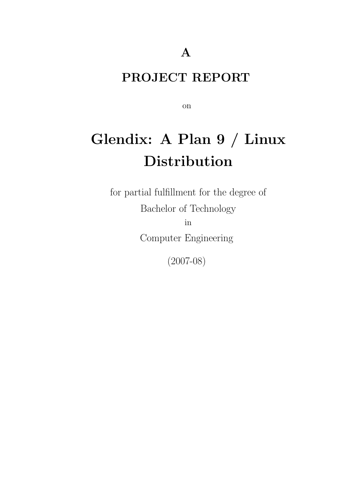### PROJECT REPORT

on

# Glendix: A Plan 9 / Linux Distribution

for partial fulfillment for the degree of Bachelor of Technology in Computer Engineering

(2007-08)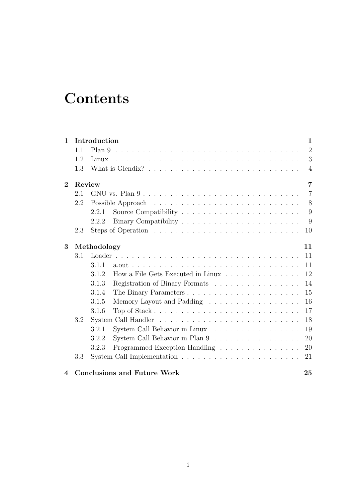# **Contents**

| $\mathbf{1}$   |     | Introduction |                                    | $\mathbf{1}$   |
|----------------|-----|--------------|------------------------------------|----------------|
|                | 1.1 | Plan 9       |                                    | $\overline{2}$ |
|                | 1.2 | Linux        |                                    | 3              |
|                | 1.3 |              |                                    | $\overline{4}$ |
| $\mathbf{2}$   |     | Review       |                                    | 7              |
|                | 2.1 |              |                                    | $\overline{7}$ |
|                | 2.2 |              |                                    | 8              |
|                |     | 2.2.1        |                                    | 9              |
|                |     | 2.2.2        |                                    | 9              |
|                | 2.3 |              |                                    | 10             |
| 3              |     | Methodology  |                                    | 11             |
|                | 3.1 |              |                                    | 11             |
|                |     | 3.1.1        |                                    | 11             |
|                |     | 3.1.2        | How a File Gets Executed in Linux  | 12             |
|                |     | 3.1.3        | Registration of Binary Formats     | 14             |
|                |     | 3.1.4        |                                    | 15             |
|                |     | 3.1.5        | Memory Layout and Padding          | 16             |
|                |     | 3.1.6        |                                    | 17             |
|                | 3.2 |              |                                    | 18             |
|                |     | 3.2.1        | System Call Behavior in Linux      | 19             |
|                |     | 3.2.2        | System Call Behavior in Plan 9     | 20             |
|                |     | 3.2.3        | Programmed Exception Handling      | 20             |
|                | 3.3 |              |                                    | 21             |
| $\overline{4}$ |     |              | <b>Conclusions and Future Work</b> | 25             |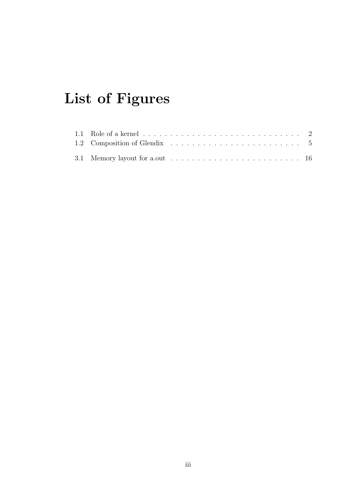# List of Figures

| 1.1 Role of a kernel $\ldots \ldots \ldots \ldots \ldots \ldots \ldots \ldots \ldots \ldots 2$ |  |  |  |  |  |  |  |  |  |  |  |  |  |
|------------------------------------------------------------------------------------------------|--|--|--|--|--|--|--|--|--|--|--|--|--|
|                                                                                                |  |  |  |  |  |  |  |  |  |  |  |  |  |
|                                                                                                |  |  |  |  |  |  |  |  |  |  |  |  |  |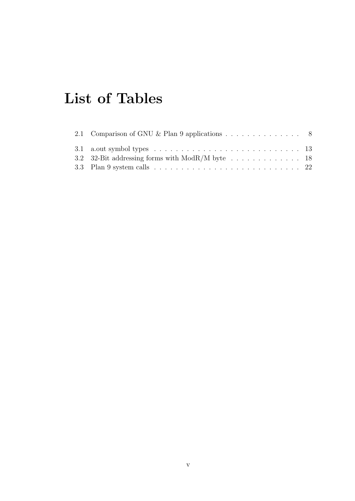# List of Tables

| 2.1 Comparison of GNU & Plan 9 applications $\ldots \ldots \ldots \ldots$ 8                 |  |
|---------------------------------------------------------------------------------------------|--|
|                                                                                             |  |
| 3.2 32-Bit addressing forms with $ModR/M$ byte 18                                           |  |
| 3.3 Plan 9 system calls $\ldots \ldots \ldots \ldots \ldots \ldots \ldots \ldots \ldots 22$ |  |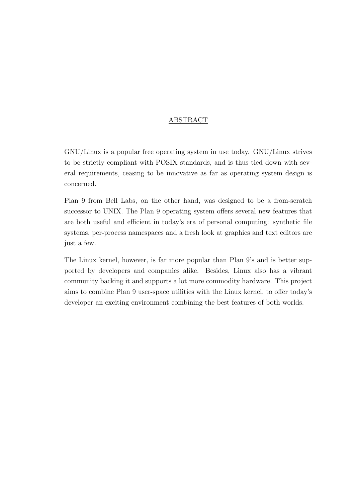#### ABSTRACT

GNU/Linux is a popular free operating system in use today. GNU/Linux strives to be strictly compliant with POSIX standards, and is thus tied down with several requirements, ceasing to be innovative as far as operating system design is concerned.

Plan 9 from Bell Labs, on the other hand, was designed to be a from-scratch successor to UNIX. The Plan 9 operating system offers several new features that are both useful and efficient in today's era of personal computing: synthetic file systems, per-process namespaces and a fresh look at graphics and text editors are just a few.

The Linux kernel, however, is far more popular than Plan 9's and is better supported by developers and companies alike. Besides, Linux also has a vibrant community backing it and supports a lot more commodity hardware. This project aims to combine Plan 9 user-space utilities with the Linux kernel, to offer today's developer an exciting environment combining the best features of both worlds.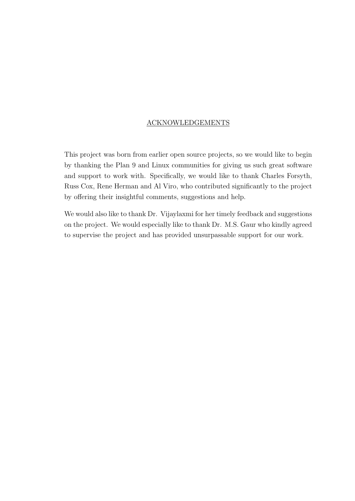#### ACKNOWLEDGEMENTS

This project was born from earlier open source projects, so we would like to begin by thanking the Plan 9 and Linux communities for giving us such great software and support to work with. Specifically, we would like to thank Charles Forsyth, Russ Cox, Rene Herman and Al Viro, who contributed significantly to the project by offering their insightful comments, suggestions and help.

We would also like to thank Dr. Vijaylaxmi for her timely feedback and suggestions on the project. We would especially like to thank Dr. M.S. Gaur who kindly agreed to supervise the project and has provided unsurpassable support for our work.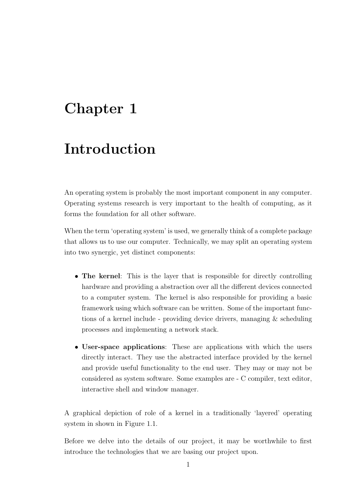# <span id="page-12-0"></span>Chapter 1

## Introduction

An operating system is probably the most important component in any computer. Operating systems research is very important to the health of computing, as it forms the foundation for all other software.

When the term 'operating system' is used, we generally think of a complete package that allows us to use our computer. Technically, we may split an operating system into two synergic, yet distinct components:

- The kernel: This is the layer that is responsible for directly controlling hardware and providing a abstraction over all the different devices connected to a computer system. The kernel is also responsible for providing a basic framework using which software can be written. Some of the important functions of a kernel include - providing device drivers, managing & scheduling processes and implementing a network stack.
- User-space applications: These are applications with which the users directly interact. They use the abstracted interface provided by the kernel and provide useful functionality to the end user. They may or may not be considered as system software. Some examples are - C compiler, text editor, interactive shell and window manager.

A graphical depiction of role of a kernel in a traditionally 'layered' operating system in shown in Figure [1.1.](#page-13-1)

Before we delve into the details of our project, it may be worthwhile to first introduce the technologies that we are basing our project upon.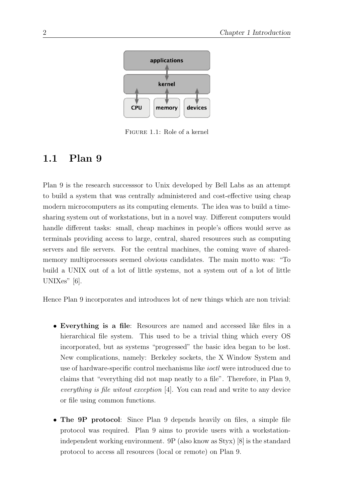

<span id="page-13-1"></span>Figure 1.1: Role of a kernel

### <span id="page-13-0"></span>1.1 Plan 9

Plan 9 is the research successsor to Unix developed by Bell Labs as an attempt to build a system that was centrally administered and cost-effective using cheap modern microcomputers as its computing elements. The idea was to build a timesharing system out of workstations, but in a novel way. Different computers would handle different tasks: small, cheap machines in people's offices would serve as terminals providing access to large, central, shared resources such as computing servers and file servers. For the central machines, the coming wave of sharedmemory multiprocessors seemed obvious candidates. The main motto was: "To build a UNIX out of a lot of little systems, not a system out of a lot of little UNIXes" [\[6\]](#page-38-0).

Hence Plan 9 incorporates and introduces lot of new things which are non trivial:

- Everything is a file: Resources are named and accessed like files in a hierarchical file system. This used to be a trivial thing which every OS incorporated, but as systems "progressed" the basic idea began to be lost. New complications, namely: Berkeley sockets, the X Window System and use of hardware-specific control mechanisms like ioctl were introduced due to claims that "everything did not map neatly to a file". Therefore, in Plan 9, everything is file witout exception [\[4\]](#page-38-1). You can read and write to any device or file using common functions.
- The 9P protocol: Since Plan 9 depends heavily on files, a simple file protocol was required. Plan 9 aims to provide users with a workstationindependent working environment. 9P (also know as Styx) [\[8\]](#page-38-2) is the standard protocol to access all resources (local or remote) on Plan 9.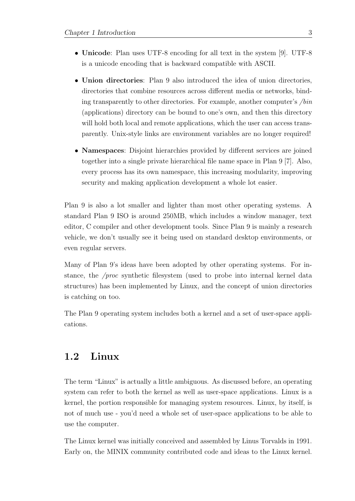- Unicode: Plan uses UTF-8 encoding for all text in the system [\[9\]](#page-38-3). UTF-8 is a unicode encoding that is backward compatible with ASCII.
- Union directories: Plan 9 also introduced the idea of union directories, directories that combine resources across different media or networks, binding transparently to other directories. For example, another computer's /bin (applications) directory can be bound to one's own, and then this directory will hold both local and remote applications, which the user can access transparently. Unix-style links are environment variables are no longer required!
- Namespaces: Disjoint hierarchies provided by different services are joined together into a single private hierarchical file name space in Plan 9 [\[7\]](#page-38-4). Also, every process has its own namespace, this increasing modularity, improving security and making application development a whole lot easier.

Plan 9 is also a lot smaller and lighter than most other operating systems. A standard Plan 9 ISO is around 250MB, which includes a window manager, text editor, C compiler and other development tools. Since Plan 9 is mainly a research vehicle, we don't usually see it being used on standard desktop environments, or even regular servers.

Many of Plan 9's ideas have been adopted by other operating systems. For instance, the /proc synthetic filesystem (used to probe into internal kernel data structures) has been implemented by Linux, and the concept of union directories is catching on too.

The Plan 9 operating system includes both a kernel and a set of user-space applications.

### <span id="page-14-0"></span>1.2 Linux

The term "Linux" is actually a little ambiguous. As discussed before, an operating system can refer to both the kernel as well as user-space applications. Linux is a kernel, the portion responsible for managing system resources. Linux, by itself, is not of much use - you'd need a whole set of user-space applications to be able to use the computer.

The Linux kernel was initially conceived and assembled by Linus Torvalds in 1991. Early on, the MINIX community contributed code and ideas to the Linux kernel.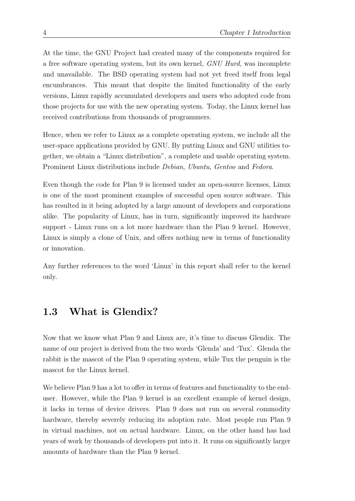At the time, the GNU Project had created many of the components required for a free software operating system, but its own kernel, GNU Hurd, was incomplete and unavailable. The BSD operating system had not yet freed itself from legal encumbrances. This meant that despite the limited functionality of the early versions, Linux rapidly accumulated developers and users who adopted code from those projects for use with the new operating system. Today, the Linux kernel has received contributions from thousands of programmers.

Hence, when we refer to Linux as a complete operating system, we include all the user-space applications provided by GNU. By putting Linux and GNU utilities together, we obtain a "Linux distribution", a complete and usable operating system. Prominent Linux distributions include Debian, Ubuntu, Gentoo and Fedora.

Even though the code for Plan 9 is licensed under an open-source licenses, Linux is one of the most prominent examples of successful open source software. This has resulted in it being adopted by a large amount of developers and corporations alike. The popularity of Linux, has in turn, significantly improved its hardware support - Linux runs on a lot more hardware than the Plan 9 kernel. However, Linux is simply a clone of Unix, and offers nothing new in terms of functionality or innovation.

Any further references to the word 'Linux' in this report shall refer to the kernel only.

### <span id="page-15-0"></span>1.3 What is Glendix?

Now that we know what Plan 9 and Linux are, it's time to discuss Glendix. The name of our project is derived from the two words 'Glenda' and 'Tux'. Glenda the rabbit is the mascot of the Plan 9 operating system, while Tux the penguin is the mascot for the Linux kernel.

We believe Plan 9 has a lot to offer in terms of features and functionality to the enduser. However, while the Plan 9 kernel is an excellent example of kernel design, it lacks in terms of device drivers. Plan 9 does not run on several commodity hardware, thereby severely reducing its adoption rate. Most people run Plan 9 in virtual machines, not on actual hardware. Linux, on the other hand has had years of work by thousands of developers put into it. It runs on significantly larger amounts of hardware than the Plan 9 kernel.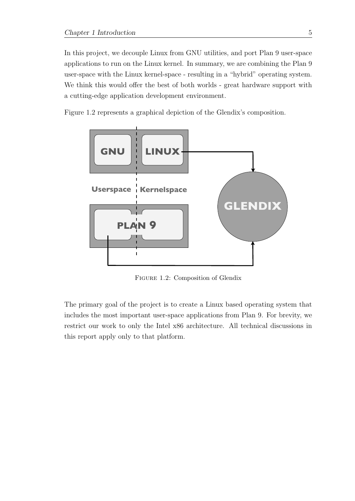In this project, we decouple Linux from GNU utilities, and port Plan 9 user-space applications to run on the Linux kernel. In summary, we are combining the Plan 9 user-space with the Linux kernel-space - resulting in a "hybrid" operating system. We think this would offer the best of both worlds - great hardware support with a cutting-edge application development environment.

Figure [1.2](#page-16-0) represents a graphical depiction of the Glendix's composition.



<span id="page-16-0"></span>Figure 1.2: Composition of Glendix

The primary goal of the project is to create a Linux based operating system that includes the most important user-space applications from Plan 9. For brevity, we restrict our work to only the Intel x86 architecture. All technical discussions in this report apply only to that platform.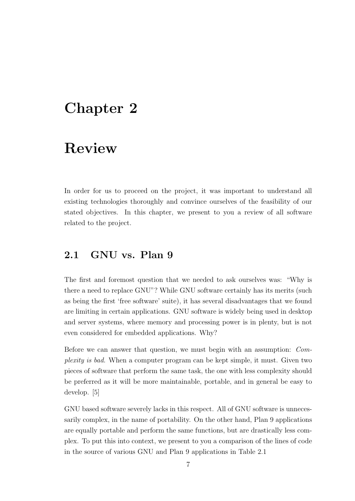## <span id="page-18-0"></span>Chapter 2

# Review

In order for us to proceed on the project, it was important to understand all existing technologies thoroughly and convince ourselves of the feasibility of our stated objectives. In this chapter, we present to you a review of all software related to the project.

### <span id="page-18-1"></span>2.1 GNU vs. Plan 9

The first and foremost question that we needed to ask ourselves was: "Why is there a need to replace GNU"? While GNU software certainly has its merits (such as being the first 'free software' suite), it has several disadvantages that we found are limiting in certain applications. GNU software is widely being used in desktop and server systems, where memory and processing power is in plenty, but is not even considered for embedded applications. Why?

Before we can answer that question, we must begin with an assumption: Complexity is bad. When a computer program can be kept simple, it must. Given two pieces of software that perform the same task, the one with less complexity should be preferred as it will be more maintainable, portable, and in general be easy to develop. [\[5\]](#page-38-5)

GNU based software severely lacks in this respect. All of GNU software is unnecessarily complex, in the name of portability. On the other hand, Plan 9 applications are equally portable and perform the same functions, but are drastically less complex. To put this into context, we present to you a comparison of the lines of code in the source of various GNU and Plan 9 applications in Table [2.1](#page-19-1)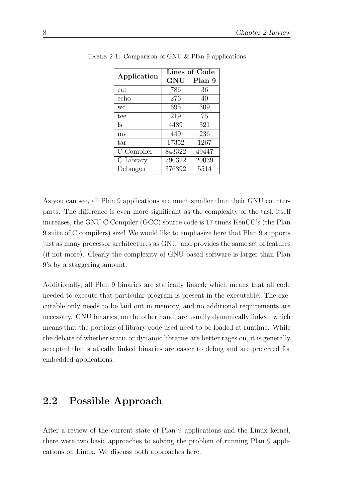<span id="page-19-1"></span>

|             | Lines of Code |        |  |  |  |  |  |
|-------------|---------------|--------|--|--|--|--|--|
| Application | GNU           | Plan 9 |  |  |  |  |  |
| cat         | 786           | 36     |  |  |  |  |  |
| echo        | 276           | 40     |  |  |  |  |  |
| WC          | 695           | 309    |  |  |  |  |  |
| tee         | 219           | 75     |  |  |  |  |  |
| ls          | 4489          | 321    |  |  |  |  |  |
| mv          | 449           | 236    |  |  |  |  |  |
| tar         | 17352         | 1267   |  |  |  |  |  |
| C Compiler  | 843322        | 49447  |  |  |  |  |  |
| C Library   | 790322        | 20039  |  |  |  |  |  |
| Debugger    | 376392        | 5514   |  |  |  |  |  |

TABLE 2.1: Comparison of GNU  $&$  Plan 9 applications

As you can see, all Plan 9 applications are much smaller than their GNU counterparts. The difference is even more significant as the complexity of the task itself increases, the GNU C Compiler (GCC) source code is 17 times KenCC's (the Plan 9 suite of C compilers) size! We would like to emphasize here that Plan 9 supports just as many processor architectures as GNU, and provides the same set of features (if not more). Clearly the complexity of GNU based software is larger than Plan 9's by a staggering amount.

Additionally, all Plan 9 binaries are statically linked; which means that all code needed to execute that particular program is present in the executable. The executable only needs to be laid out in memory, and no additional requirements are necessary. GNU binaries, on the other hand, are usually dynamically linked; which means that the portions of library code used need to be loaded at runtime. While the debate of whether static or dynamic libraries are better rages on, it is generally accepted that statically linked binaries are easier to debug and are preferred for embedded applications.

### <span id="page-19-0"></span>2.2 Possible Approach

After a review of the current state of Plan 9 applications and the Linux kernel, there were two basic approaches to solving the problem of running Plan 9 applications on Linux. We discuss both approaches here.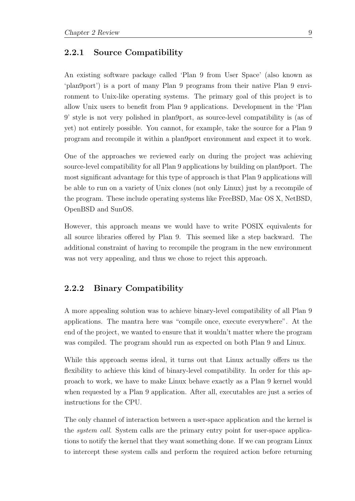#### <span id="page-20-0"></span>2.2.1 Source Compatibility

An existing software package called 'Plan 9 from User Space' (also known as 'plan9port') is a port of many Plan 9 programs from their native Plan 9 environment to Unix-like operating systems. The primary goal of this project is to allow Unix users to benefit from Plan 9 applications. Development in the 'Plan 9' style is not very polished in plan9port, as source-level compatibility is (as of yet) not entirely possible. You cannot, for example, take the source for a Plan 9 program and recompile it within a plan9port environment and expect it to work.

One of the approaches we reviewed early on during the project was achieving source-level compatibility for all Plan 9 applications by building on plan9port. The most significant advantage for this type of approach is that Plan 9 applications will be able to run on a variety of Unix clones (not only Linux) just by a recompile of the program. These include operating systems like FreeBSD, Mac OS X, NetBSD, OpenBSD and SunOS.

However, this approach means we would have to write POSIX equivalents for all source libraries offered by Plan 9. This seemed like a step backward. The additional constraint of having to recompile the program in the new environment was not very appealing, and thus we chose to reject this approach.

#### <span id="page-20-1"></span>2.2.2 Binary Compatibility

A more appealing solution was to achieve binary-level compatibility of all Plan 9 applications. The mantra here was "compile once, execute everywhere". At the end of the project, we wanted to ensure that it wouldn't matter where the program was compiled. The program should run as expected on both Plan 9 and Linux.

While this approach seems ideal, it turns out that Linux actually offers us the flexibility to achieve this kind of binary-level compatibility. In order for this approach to work, we have to make Linux behave exactly as a Plan 9 kernel would when requested by a Plan 9 application. After all, executables are just a series of instructions for the CPU.

The only channel of interaction between a user-space application and the kernel is the system call. System calls are the primary entry point for user-space applications to notify the kernel that they want something done. If we can program Linux to intercept these system calls and perform the required action before returning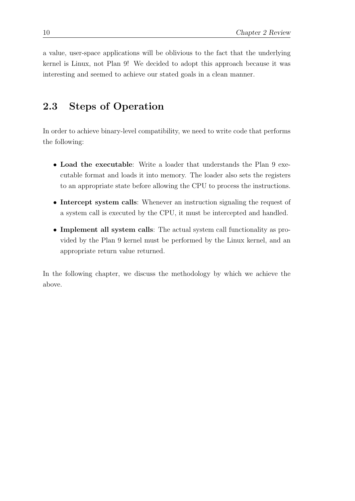a value, user-space applications will be oblivious to the fact that the underlying kernel is Linux, not Plan 9! We decided to adopt this approach because it was interesting and seemed to achieve our stated goals in a clean manner.

### <span id="page-21-0"></span>2.3 Steps of Operation

In order to achieve binary-level compatibility, we need to write code that performs the following:

- Load the executable: Write a loader that understands the Plan 9 executable format and loads it into memory. The loader also sets the registers to an appropriate state before allowing the CPU to process the instructions.
- Intercept system calls: Whenever an instruction signaling the request of a system call is executed by the CPU, it must be intercepted and handled.
- Implement all system calls: The actual system call functionality as provided by the Plan 9 kernel must be performed by the Linux kernel, and an appropriate return value returned.

In the following chapter, we discuss the methodology by which we achieve the above.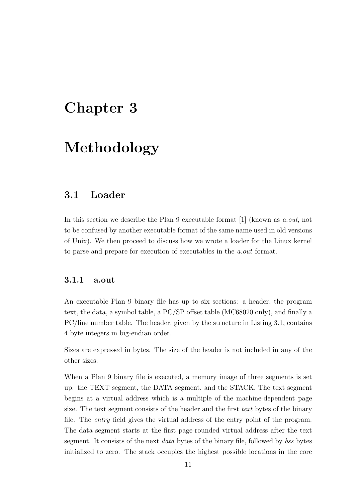## <span id="page-22-0"></span>Chapter 3

# Methodology

### <span id="page-22-1"></span>3.1 Loader

In this section we describe the Plan 9 executable format [\[1\]](#page-38-6) (known as *a.out*, not to be confused by another executable format of the same name used in old versions of Unix). We then proceed to discuss how we wrote a loader for the Linux kernel to parse and prepare for execution of executables in the a.out format.

#### <span id="page-22-2"></span>3.1.1 a.out

An executable Plan 9 binary file has up to six sections: a header, the program text, the data, a symbol table, a PC/SP offset table (MC68020 only), and finally a PC/line number table. The header, given by the structure in Listing [3.1,](#page-23-1) contains 4 byte integers in big-endian order.

Sizes are expressed in bytes. The size of the header is not included in any of the other sizes.

When a Plan 9 binary file is executed, a memory image of three segments is set up: the TEXT segment, the DATA segment, and the STACK. The text segment begins at a virtual address which is a multiple of the machine-dependent page size. The text segment consists of the header and the first text bytes of the binary file. The entry field gives the virtual address of the entry point of the program. The data segment starts at the first page-rounded virtual address after the text segment. It consists of the next data bytes of the binary file, followed by bss bytes initialized to zero. The stack occupies the highest possible locations in the core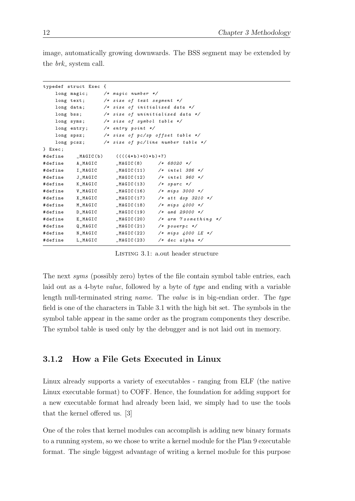image, automatically growing downwards. The BSS segment may be extended by the  $brk$  system call.

<span id="page-23-1"></span>

|         | typedef struct Exec { |                                             |                                                  |
|---------|-----------------------|---------------------------------------------|--------------------------------------------------|
|         |                       | long magic; /* magic number */              |                                                  |
|         |                       | long text; $/* size of text segment */$     |                                                  |
|         |                       | long data; $/* size of initialized data */$ |                                                  |
|         |                       |                                             | long bss; $/* size of uninitialized data */$     |
|         |                       | long syms; $/* size of symbol table */$     |                                                  |
|         |                       | long entry; $/*$ entry point $*/$           |                                                  |
|         |                       |                                             | long spsz; $/* size of pc/sp offset table */$    |
|         |                       |                                             | long pcsz; $/* size of p c/line number table */$ |
| } Exec; |                       |                                             |                                                  |
|         |                       | #define _MAGIC(b) $(((4*b)+0)*b)+7)$        |                                                  |
|         |                       | #define A_MAGIC _MAGIC(8) /* 68020 */       |                                                  |
|         |                       |                                             | #define I_MAGIC _MAGIC(11) /* intel 386 */       |
|         |                       |                                             | #define J_MAGIC _MAGIC(12) /* intel 960 */       |
|         |                       | #define K_MAGIC _MAGIC(13) /* sparc */      |                                                  |
| #define |                       |                                             | $V_MAGIC$ $_MAGIC(16)$ $/*$ mips 3000 $*/$       |
|         |                       |                                             | #define X_MAGIC __MAGIC(17) /* att dsp 3210 */   |
|         |                       |                                             | #define M_MAGIC _MAGIC(18) /* mips 4000 */       |
|         |                       |                                             | #define D_MAGIC _ MAGIC(19) /* amd 29000 */      |
|         |                       |                                             | #define E_MAGIC _MAGIC(20) /* arm 7 something */ |
| #define |                       |                                             | $Q_MAGIC$ $_MAGIC(21)$ /* powerpc */             |
|         |                       |                                             | #define N_MAGIC _MAGIC(22) /* mips 4000 LE */    |
| #define |                       |                                             | $L_MAGIC$ $_MAGIC(23)$ /* dec alpha */           |

LISTING 3.1: a.out header structure

The next syms (possibly zero) bytes of the file contain symbol table entries, each laid out as a 4-byte value, followed by a byte of type and ending with a variable length null-terminated string *name*. The *value* is in big-endian order. The type field is one of the characters in Table [3.1](#page-24-0) with the high bit set. The symbols in the symbol table appear in the same order as the program components they describe. The symbol table is used only by the debugger and is not laid out in memory.

### <span id="page-23-0"></span>3.1.2 How a File Gets Executed in Linux

Linux already supports a variety of executables - ranging from ELF (the native Linux executable format) to COFF. Hence, the foundation for adding support for a new executable format had already been laid, we simply had to use the tools that the kernel offered us. [\[3\]](#page-38-7)

One of the roles that kernel modules can accomplish is adding new binary formats to a running system, so we chose to write a kernel module for the Plan 9 executable format. The single biggest advantage of writing a kernel module for this purpose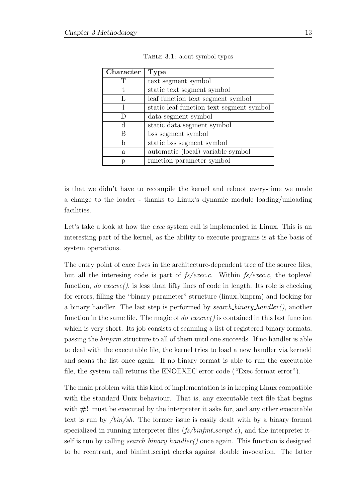| Character | <b>Type</b>                              |
|-----------|------------------------------------------|
|           | text segment symbol                      |
| t.        | static text segment symbol               |
|           | leaf function text segment symbol        |
|           | static leaf function text segment symbol |
|           | data segment symbol                      |
| d         | static data segment symbol               |
| В         | bss segment symbol                       |
|           | static bss segment symbol                |
| a.        | automatic (local) variable symbol        |
|           | function parameter symbol                |

<span id="page-24-0"></span>

is that we didn't have to recompile the kernel and reboot every-time we made a change to the loader - thanks to Linux's dynamic module loading/unloading facilities.

Let's take a look at how the *exec* system call is implemented in Linux. This is an interesting part of the kernel, as the ability to execute programs is at the basis of system operations.

The entry point of exec lives in the architecture-dependent tree of the source files, but all the interesing code is part of  $fs/exec.c.$  Within  $fs/exec.c.$  the toplevel function,  $do\_execute$ ), is less than fifty lines of code in length. Its role is checking for errors, filling the "binary parameter" structure (linux binprm) and looking for a binary handler. The last step is performed by search binary handler(), another function in the same file. The magic of  $do\_execute()$  is contained in this last function which is very short. Its job consists of scanning a list of registered binary formats, passing the binprm structure to all of them until one succeeds. If no handler is able to deal with the executable file, the kernel tries to load a new handler via kerneld and scans the list once again. If no binary format is able to run the executable file, the system call returns the ENOEXEC error code ("Exec format error").

The main problem with this kind of implementation is in keeping Linux compatible with the standard Unix behaviour. That is, any executable text file that begins with  $\#!$  must be executed by the interpreter it asks for, and any other executable text is run by /bin/sh. The former issue is easily dealt with by a binary format specialized in running interpreter files  $(f_s/binfmt\_script.c)$ , and the interpreter itself is run by calling *search\_binary\_handler()* once again. This function is designed to be reentrant, and binfmt script checks against double invocation. The latter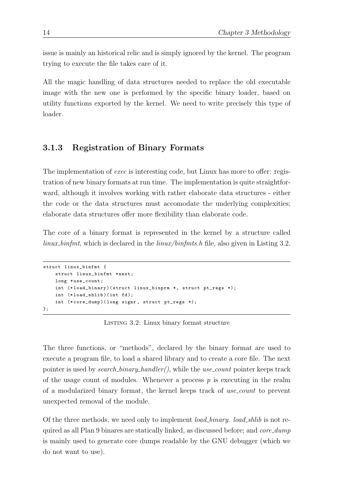issue is mainly an historical relic and is simply ignored by the kernel. The program trying to execute the file takes care of it.

All the magic handling of data structures needed to replace the old executable image with the new one is performed by the specific binary loader, based on utility functions exported by the kernel. We need to write precisely this type of loader.

#### <span id="page-25-0"></span>3.1.3 Registration of Binary Formats

The implementation of *exec* is interesting code, but Linux has more to offer: registration of new binary formats at run time. The implementation is quite straightforward, although it involves working with rather elaborate data structures - either the code or the data structures must accomodate the underlying complexities; elaborate data structures offer more flexibility than elaborate code.

The core of a binary format is represented in the kernel by a structure called linux binfmt, which is declared in the linux/binfmts.h file, also given in Listing [3.2.](#page-25-1)

```
struct linux_binfmt {
    struct linux_binfmt *next;
    long *use_count;
    int (* load_binary )( struct linux_binprm *, struct pt_regs *);
    int (*load\_shlib) (int fd);
    int (* core_dump )( long signr , struct pt_regs *);
};
```
Listing 3.2: Linux binary format structure

The three functions, or "methods", declared by the binary format are used to execute a program file, to load a shared library and to create a core file. The next pointer is used by *search\_binary\_handler()*, while the *use\_count* pointer keeps track of the usage count of modules. Whenever a process  $p$  is executing in the realm of a modularized binary format, the kernel keeps track of use count to prevent unexpected removal of the module.

Of the three methods, we need only to implement *load\_binary*. *load\_shlib* is not required as all Plan 9 binares are statically linked, as discussed before; and *core\_dump* is mainly used to generate core dumps readable by the GNU debugger (which we do not want to use).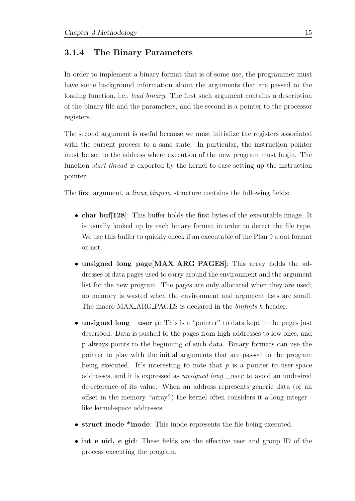#### <span id="page-26-0"></span>3.1.4 The Binary Parameters

In order to implement a binary format that is of some use, the programmer must have some background information about the arguments that are passed to the loading function, i.e., *load binary*. The first such argument contains a description of the binary file and the parameters, and the second is a pointer to the processor registers.

The second argument is useful because we must initialize the registers associated with the current process to a sane state. In particular, the instruction pointer must be set to the address where execution of the new program must begin. The function start thread is exported by the kernel to ease setting up the instruction pointer.

The first argument, a *linux\_binprm* structure contains the following fields:

- char buf[128]: This buffer holds the first bytes of the executable image. It is usually looked up by each binary format in order to detect the file type. We use this buffer to quickly check if an executable of the Plan 9 a.out format or not.
- unsigned long page [MAX\_ARG\_PAGES]: This array holds the addresses of data pages used to carry around the environment and the argument list for the new program. The pages are only allocated when they are used; no memory is wasted when the environment and argument lists are small. The macro MAX\_ARG\_PAGES is declared in the  $\text{binf} \text{mts}$ .h header.
- unsigned long  $\equiv$  user p: This is a "pointer" to data kept in the pages just described. Data is pushed to the pages from high addresses to low ones, and p always points to the beginning of such data. Binary formats can use the pointer to play with the initial arguments that are passed to the program being executed. It's interesting to note that  $p$  is a pointer to user-space addresses, and it is expressed as *unsigned long*  $\text{\_}user$  to avoid an undesired de-reference of its value. When an address represents generic data (or an offset in the memory "array") the kernel often considers it a long integer like kernel-space addresses.
- struct inode \*inode: This inode represents the file being executed.
- int e\_uid, e\_gid: These fields are the effective user and group ID of the process executing the program.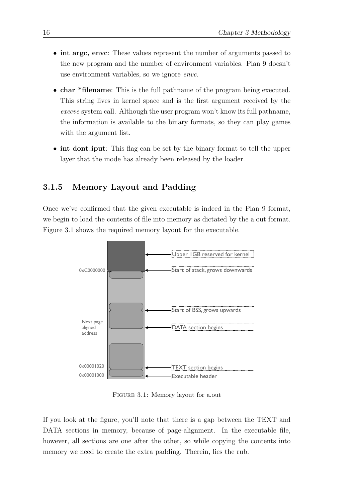- int argc, envc: These values represent the number of arguments passed to the new program and the number of environment variables. Plan 9 doesn't use environment variables, so we ignore envc.
- char \*filename: This is the full pathname of the program being executed. This string lives in kernel space and is the first argument received by the execve system call. Although the user program won't know its full pathname, the information is available to the binary formats, so they can play games with the argument list.
- int dont iput: This flag can be set by the binary format to tell the upper layer that the inode has already been released by the loader.

#### <span id="page-27-0"></span>3.1.5 Memory Layout and Padding

Once we've confirmed that the given executable is indeed in the Plan 9 format, we begin to load the contents of file into memory as dictated by the a.out format. Figure [3.1](#page-27-1) shows the required memory layout for the executable.



<span id="page-27-1"></span>Figure 3.1: Memory layout for a.out

If you look at the figure, you'll note that there is a gap between the TEXT and DATA sections in memory, because of page-alignment. In the executable file, however, all sections are one after the other, so while copying the contents into memory we need to create the extra padding. Therein, lies the rub.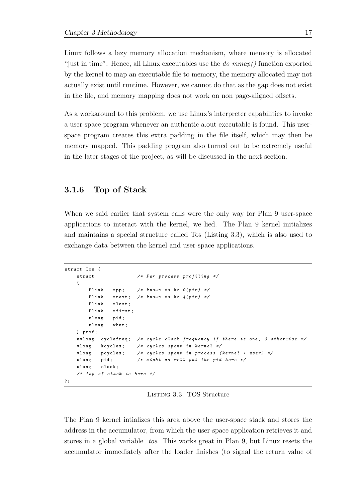Linux follows a lazy memory allocation mechanism, where memory is allocated "just in time". Hence, all Linux executables use the  $do\_mmap()$  function exported by the kernel to map an executable file to memory, the memory allocated may not actually exist until runtime. However, we cannot do that as the gap does not exist in the file, and memory mapping does not work on non page-aligned offsets.

As a workaround to this problem, we use Linux's interpreter capabilities to invoke a user-space program whenever an authentic a.out executable is found. This userspace program creates this extra padding in the file itself, which may then be memory mapped. This padding program also turned out to be extremely useful in the later stages of the project, as will be discussed in the next section.

#### <span id="page-28-0"></span>3.1.6 Top of Stack

When we said earlier that system calls were the only way for Plan 9 user-space applications to interact with the kernel, we lied. The Plan 9 kernel initializes and maintains a special structure called Tos (Listing [3.3\)](#page-28-1), which is also used to exchange data between the kernel and user-space applications.

```
struct Tos {
   struct /* Per process profiling */
   {
       Plink *pp; /* known to be O(ptr) */
       Plink *next; /* known to be 4 (ptr) */
       Plink * last:
       Plink *first;
       ulong pid ;
       ulong what;
   } prof ;
   uvlong cyclefreq; /* cycle clock frequency if there is one, 0 otherwise */
   vlong kcycles; /* cycles spent in kernel */vlong pcycles; /* cycles spent in process (kernel + user) */
   ulong pid; /* might as well put the pid here */ulong clock;
   /* top of stack is here */};
```
Listing 3.3: TOS Structure

The Plan 9 kernel intializes this area above the user-space stack and stores the address in the accumulator, from which the user-space application retrieves it and stores in a global variable  $\text{\textperp}$  tos. This works great in Plan 9, but Linux resets the accumulator immediately after the loader finishes (to signal the return value of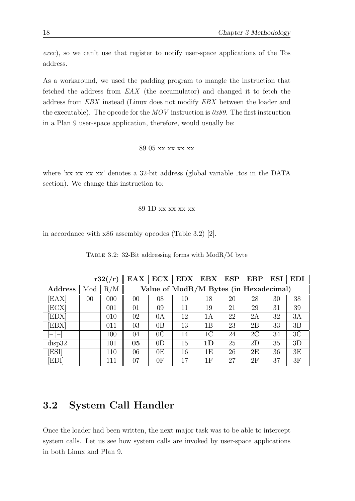exec), so we can't use that register to notify user-space applications of the Tos address.

As a workaround, we used the padding program to mangle the instruction that fetched the address from  $EAX$  (the accumulator) and changed it to fetch the address from EBX instead (Linux does not modify EBX between the loader and the executable). The opcode for the MOV instruction is  $0x89$ . The first instruction in a Plan 9 user-space application, therefore, would usually be:

```
89 05 xx xx xx xx
```
where 'xx xx xx' denotes a 32-bit address (global variable tos in the DATA section). We change this instruction to:

#### 89 1D xx xx xx xx

in accordance with x86 assembly opcodes (Table [3.2\)](#page-29-1) [\[2\]](#page-38-8).

|                  |        | r32/(r)  | <b>EAX</b> | ECX            | EDX | <b>EBX</b>                             | <b>ESP</b> | <b>EBP</b> | <b>ESI</b> | $\mathbf{E}\mathbf{D}\mathbf{I}$ |
|------------------|--------|----------|------------|----------------|-----|----------------------------------------|------------|------------|------------|----------------------------------|
| <b>Address</b>   | Mod    | ′M<br>R, |            |                |     | Value of ModR/M Bytes (in Hexadecimal) |            |            |            |                                  |
| EAX              | $00\,$ | 000      | 00         | 08             | 10  | 18                                     | 20         | 28         | 30         | 38                               |
| [ECX]            |        | 001      | 01         | 09             | 11  | 19                                     | 21         | 29         | 31         | 39                               |
| EDX <sup>-</sup> |        | 010      | 02         | 0A             | 12  | 1Α                                     | 22         | 2A         | 32         | 3A                               |
| <b>EBX</b>       |        | 011      | 03         | 0B             | 13  | 1B                                     | 23         | 2B         | 33         | 3B                               |
|                  |        | 100      | 04         | 0 <sup>C</sup> | 14  | 1C                                     | 24         | 2C         | 34         | 3C                               |
| disp32           |        | 101      | 05         | 0 <sub>D</sub> | 15  | 1 <sub>D</sub>                         | 25         | 2D         | 35         | 3D                               |
| <b>ESI</b>       |        | 110      | 06         | 0E             | 16  | 1Ε                                     | 26         | 2E         | 36         | 3E                               |
| EDI              |        | 111      | 07         | 0 <sub>F</sub> | 17  | 1F                                     | 27         | 2F         | 37         | 3F                               |

<span id="page-29-1"></span>

| TABLE 3.2: 32-Bit addressing forms with ModR/M byte |  |  |  |  |
|-----------------------------------------------------|--|--|--|--|
|                                                     |  |  |  |  |

### <span id="page-29-0"></span>3.2 System Call Handler

Once the loader had been written, the next major task was to be able to intercept system calls. Let us see how system calls are invoked by user-space applications in both Linux and Plan 9.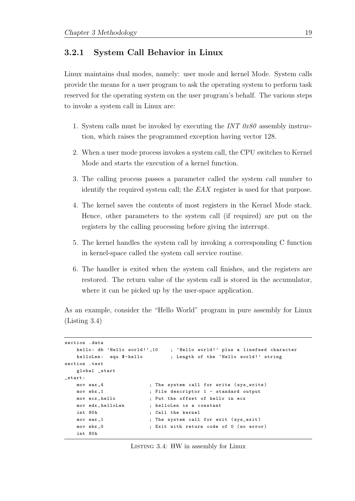#### <span id="page-30-0"></span>3.2.1 System Call Behavior in Linux

Linux maintains dual modes, namely: user mode and kernel Mode. System calls provide the means for a user program to ask the operating system to perform task reserved for the operating system on the user program's behalf. The various steps to invoke a system call in Linux are:

- 1. System calls must be invoked by executing the INT 0x80 assembly instruction, which raises the programmed exception having vector 128.
- 2. When a user mode process invokes a system call, the CPU switches to Kernel Mode and starts the execution of a kernel function.
- 3. The calling process passes a parameter called the system call number to identify the required system call; the EAX register is used for that purpose.
- 4. The kernel saves the contents of most registers in the Kernel Mode stack. Hence, other parameters to the system call (if required) are put on the registers by the calling processing before giving the interrupt.
- 5. The kernel handles the system call by invoking a corresponding C function in kernel-space called the system call service routine.
- 6. The handler is exited when the system call finishes, and the registers are restored. The return value of the system call is stored in the accumulator, where it can be picked up by the user-space application.

As an example, consider the "Hello World" program in pure assembly for Linux (Listing [3.4\)](#page-30-1)

```
section . data
   hello: db 'Hello world!',10 ; 'Hello world!' plus a linefeed character
   helloLen: equ $-hello ; Length of the 'Hello world!' string
section . text
   global _start
_start :
   mov eax, 4 (a) ; The system call for write (sys_write)
   mov ebx ,1 ; File descriptor 1 - standard output
   mov ecx , hello ; Put the offset of hello in ecx
   mov edx , helloLen ; helloLen is a constant
   int 80h ; Call the kernel
   mov eax, 1 \qquad ; The system call for exit (sys_exit)
   mov ebx, 0 ; Exit with return code of 0 (no error)
   int 80h
```
Listing 3.4: HW in assembly for Linux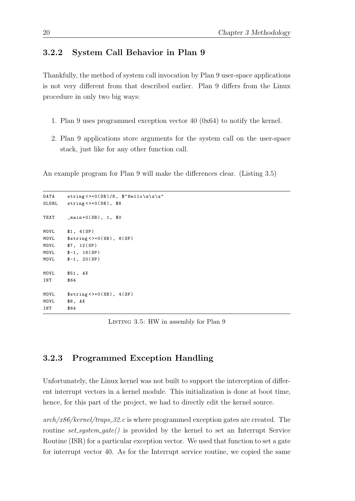#### <span id="page-31-0"></span>3.2.2 System Call Behavior in Plan 9

Thankfully, the method of system call invocation by Plan 9 user-space applications is not very different from that described earlier. Plan 9 differs from the Linux procedure in only two big ways:

- 1. Plan 9 uses programmed exception vector 40 (0x64) to notify the kernel.
- 2. Plan 9 applications store arguments for the system call on the user-space stack, just like for any other function call.

An example program for Plan 9 will make the differences clear. (Listing [3.5\)](#page-31-2)

```
DATA string <>+0(SB)/8, \frac{\text{P}}{\text{P}} Hello \n\z \z"
GLOBL string <>+0(SB), $8
TEXT _main +0(SB), 1, $0
MOVL $1, 4(SP)
MOVL $string < > +0(SB), 8(SP)
MOVL $7, 12(SP)
MOVL $-1, 16(SP)
MOVL $-1, 20(SP)MOVL $51 , AX
INT $64
MOVL $string < > +0(SB), 4(SP)
MOVL $8 , AX
INT $64
```
LISTING 3.5: HW in assembly for Plan 9

### <span id="page-31-1"></span>3.2.3 Programmed Exception Handling

Unfortunately, the Linux kernel was not built to support the interception of different interrupt vectors in a kernel module. This initialization is done at boot time, hence, for this part of the project, we had to directly edit the kernel source.

 $arch/x86/kernel/traps_22.c$  is where programmed exception gates are created. The routine  $set\_system\_gate()$  is provided by the kernel to set an Interrupt Service Routine (ISR) for a particular exception vector. We used that function to set a gate for interrupt vector 40. As for the Interrupt service routine, we copied the same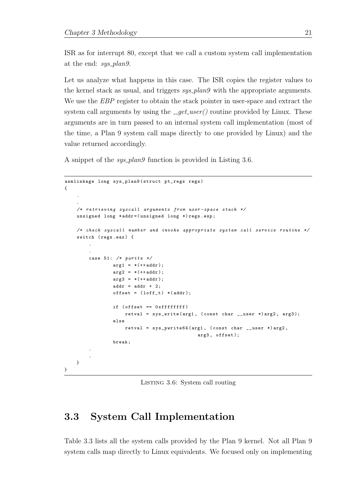ISR as for interrupt 80, except that we call a custom system call implementation at the end: sys\_plan9.

Let us analyze what happens in this case. The ISR copies the register values to the kernel stack as usual, and triggers  $sys_plan9$  with the appropriate arguments. We use the *EBP* register to obtain the stack pointer in user-space and extract the system call arguments by using the  $\text{__get\_user()}$  routine provided by Linux. These arguments are in turn passed to an internal system call implementation (most of the time, a Plan 9 system call maps directly to one provided by Linux) and the value returned accordingly.

A snippet of the *sys\_plan9* function is provided in Listing [3.6.](#page-32-1)

```
asmlinkage long sys_plan9 ( struct pt_regs regs )
{
    .
    .
    /* retrieving syscall arguments from user - space stack */
    unsigned long * addr =( unsigned long *) regs . esp ;
    /* check syscall number and invoke appropriate system call service routine */
    switch (regs.eax) {
         .
         .
        case 51: /* pwrite */
                 arg1 = *(++ addr);
                 arg2 = *(++ addr);
                 arg3 = *(++ addr);addr = addr + 2;offset = (left_t) * (addr);if ( offset == 0 xffffffff )
                     retval = sys_write (arg1, (const char __user *) arg2, arg3);
                 else
                     retval = sys\_pwrite64(arg1, (const char \_luser *) arg2,arg3, offset);
                 break ;
         .
         .
    }
}
```
Listing 3.6: System call routing

### <span id="page-32-0"></span>3.3 System Call Implementation

Table [3.3](#page-33-0) lists all the system calls provided by the Plan 9 kernel. Not all Plan 9 system calls map directly to Linux equivalents. We focused only on implementing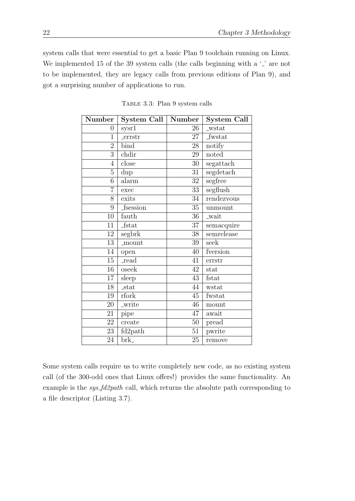system calls that were essential to get a basic Plan 9 toolchain running on Linux. We implemented 15 of the 39 system calls (the calls beginning with a  $\cdot$ ) are not to be implemented, they are legacy calls from previous editions of Plan 9), and got a surprising number of applications to run.

| Number          | System Call   Number    |                 | System Call   |
|-----------------|-------------------------|-----------------|---------------|
| $\overline{0}$  | syst1                   | 26              | _wstat        |
| $\overline{1}$  | <b>_errstr</b>          | 27              | <b>fwstat</b> |
| $\overline{2}$  | bind                    | 28              | notify        |
| 3               | chdir                   | 29              | noted         |
| $\overline{4}$  | close                   | 30              | segattach     |
| $\overline{5}$  | dup                     | 31              | segdetach     |
| 6               | alarm                   | 32              | segfree       |
| $\overline{7}$  | exec                    | $\overline{33}$ | segflush      |
| 8               | exits                   | 34              | rendezvous    |
| 9               | fsession                | 35              | unmount       |
| 10              | fauth                   | 36              | _wait         |
| 11              | <b>fstat</b>            | 37              | semacquire    |
| 12              | segbrk                  | $\overline{38}$ | semrelease    |
| 13              | _mount                  | 39              | seek          |
| 14              | open                    | 40              | fversion      |
| 15              | read                    | 41              | errstr        |
| 16              | oseek                   | 42              | stat          |
| $\overline{17}$ | sleep                   | $\overline{43}$ | fstat         |
| 18              | $\_stat$                | 44              | wstat         |
| 19              | rfork                   | 45              | fwstat        |
| 20              | _write                  | 46              | mount         |
| 21              | pipe                    | 47              | await         |
| 22              | create                  | 50              | pread         |
| 23              | fd2path                 | 51              | pwrite        |
| 24              | $\overline{\text{brk}}$ | $\overline{25}$ | remove        |

<span id="page-33-0"></span>Table 3.3: Plan 9 system calls

Some system calls require us to write completely new code, as no existing system call (of the 300-odd ones that Linux offers!) provides the same functionality. An example is the *sys\_fd2path* call, which returns the absolute path corresponding to a file descriptor (Listing [3.7\)](#page-34-0).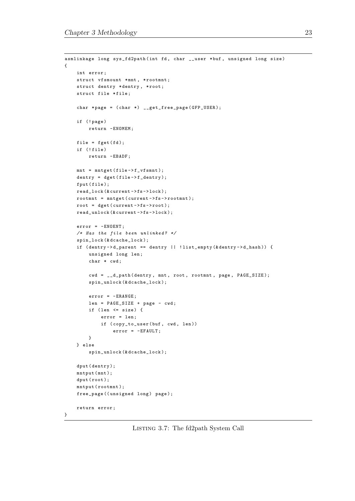```
asmlinkage long sys_fd2path (int fd, char __user *buf, unsigned long size)
{
    int error ;
    struct vfsmount *mnt, *rootmnt;
    struct dentry *dentry, *root;
    struct file *file;
    char *page = (char *) _-get\_free\_page(GFP\_USER);if (! page )
        return - ENOMEM;
    file = fget(fd);if (!file)
        return - EBADF ;
    mnt = mntget (file -> f_vfsmnt);dentry = dget (file -> f_dentry);fput (file);
    read_lock(&current->fs->lock);
    rootmnt = mntget ( current ->fs -> rootmnt );
    root = \text{dget}(\text{current} \rightarrow \text{fs} \rightarrow \text{root});read_unlock (& current ->fs -> lock );
    error = - ENOENT ;
    /* Has the file been unlinked? */
    spin_lock (& dcache_lock );
    if ( dentry -> d_parent == dentry || ! list_empty (& dentry -> d_hash )) {
         unsigned long len;
         char * cwd;
         cwd = __d_path ( dentry , mnt , root , rootmnt , page , PAGE_SIZE );
         spin_unlock (& dcache_lock );
         error = -ERANGE;len = PAGE_SIZE + page - cwd ;
         if (len \leq size) {
             error = len ;
             if ( copy_to_user ( buf, cwd, len ) )
                  error = - EFAULT ;
         }
    } else
         spin_unlock (& dcache_lock );
    dput (dentry);
    mntput (mnt);
    dput (root);
    mntput (rootmnt);
    free_page ((unsigned long) page);
    return error ;
}
```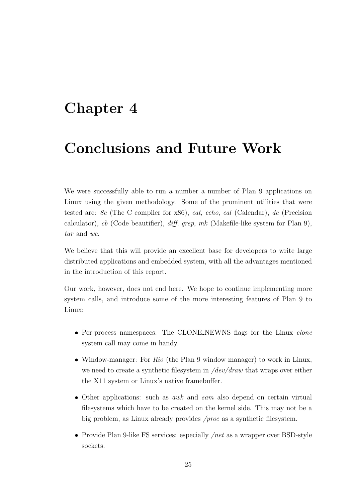## <span id="page-36-0"></span>Chapter 4

# Conclusions and Future Work

We were successfully able to run a number a number of Plan 9 applications on Linux using the given methodology. Some of the prominent utilities that were tested are: 8c (The C compiler for x86), cat, echo, cal (Calendar), dc (Precision calculator), cb (Code beautifier),  $diff$ , grep, mk (Makefile-like system for Plan 9), tar and wc.

We believe that this will provide an excellent base for developers to write large distributed applications and embedded system, with all the advantages mentioned in the introduction of this report.

Our work, however, does not end here. We hope to continue implementing more system calls, and introduce some of the more interesting features of Plan 9 to Linux:

- Per-process namespaces: The CLONE NEWNS flags for the Linux *clone* system call may come in handy.
- Window-manager: For Rio (the Plan 9 window manager) to work in Linux, we need to create a synthetic filesystem in  $/dev/draw$  that wraps over either the X11 system or Linux's native framebuffer.
- Other applications: such as *awk* and *sam* also depend on certain virtual filesystems which have to be created on the kernel side. This may not be a big problem, as Linux already provides /proc as a synthetic filesystem.
- Provide Plan 9-like FS services: especially  $/net$  as a wrapper over BSD-style sockets.